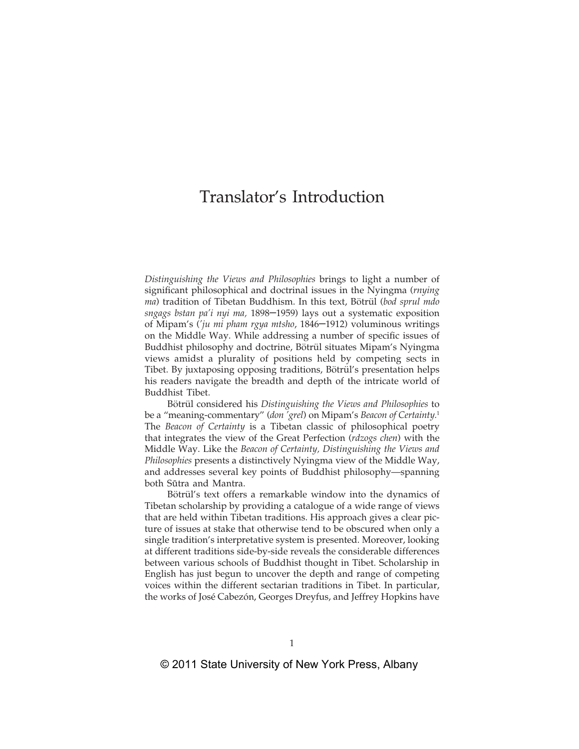# Translator's Introduction

*Distinguishing the Views and Philosophies* brings to light a number of significant philosophical and doctrinal issues in the Nyingma (*rnying ma*) tradition of Tibetan Buddhism. In this text, Bötrül (*bod sprul mdo sngags bstan pa'i nyi ma,* 1898–1959) lays out a systematic exposition of Mipam's (*'ju mi pham rgya mtsho*, 1846–1912) voluminous writings on the Middle Way. While addressing a number of specific issues of Buddhist philosophy and doctrine, Bötrül situates Mipam's Nyingma views amidst a plurality of positions held by competing sects in Tibet. By juxtaposing opposing traditions, Bötrül's presentation helps his readers navigate the breadth and depth of the intricate world of Buddhist Tibet.

Bötrül considered his *Distinguishing the Views and Philosophies* to be a "meaning-commentary" (*don 'grel*) on Mipam's *Beacon of Certainty.*<sup>1</sup> The *Beacon of Certainty* is a Tibetan classic of philosophical poetry that integrates the view of the Great Perfection (*rdzogs chen*) with the Middle Way. Like the *Beacon of Certainty, Distinguishing the Views and Philosophies* presents a distinctively Nyingma view of the Middle Way, and addresses several key points of Buddhist philosophy—spanning both Sūtra and Mantra.

Bötrül's text offers a remarkable window into the dynamics of Tibetan scholarship by providing a catalogue of a wide range of views that are held within Tibetan traditions. His approach gives a clear picture of issues at stake that otherwise tend to be obscured when only a single tradition's interpretative system is presented. Moreover, looking at different traditions side-by-side reveals the considerable differences between various schools of Buddhist thought in Tibet. Scholarship in English has just begun to uncover the depth and range of competing voices within the different sectarian traditions in Tibet. In particular, the works of José Cabezón, Georges Dreyfus, and Jeffrey Hopkins have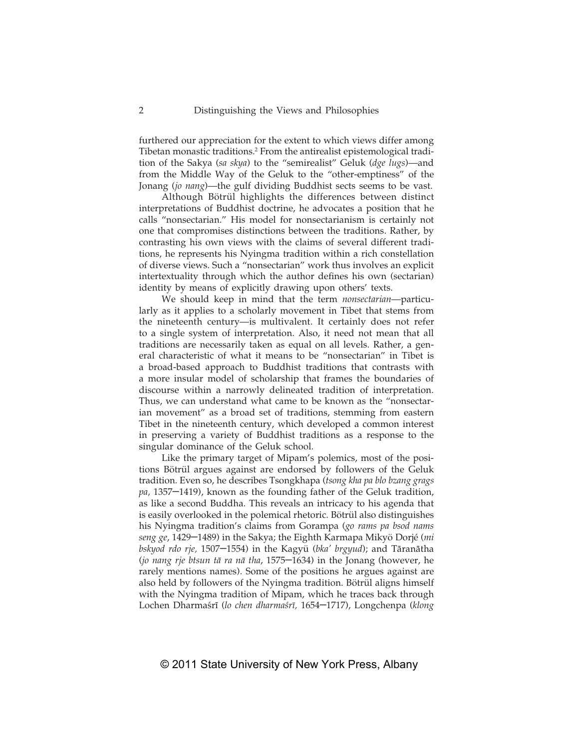furthered our appreciation for the extent to which views differ among Tibetan monastic traditions.2 From the antirealist epistemological tradition of the Sakya (*sa skya*) to the "semirealist" Geluk (*dge lugs*)—and from the Middle Way of the Geluk to the "other-emptiness" of the Jonang (*jo nang*)—the gulf dividing Buddhist sects seems to be vast.

Although Bötrül highlights the differences between distinct interpretations of Buddhist doctrine, he advocates a position that he calls "nonsectarian." His model for nonsectarianism is certainly not one that compromises distinctions between the traditions. Rather, by contrasting his own views with the claims of several different traditions, he represents his Nyingma tradition within a rich constellation of diverse views. Such a "nonsectarian" work thus involves an explicit intertextuality through which the author defines his own (sectarian) identity by means of explicitly drawing upon others' texts.

We should keep in mind that the term *nonsectarian*—particularly as it applies to a scholarly movement in Tibet that stems from the nineteenth century—is multivalent. It certainly does not refer to a single system of interpretation. Also, it need not mean that all traditions are necessarily taken as equal on all levels. Rather, a general characteristic of what it means to be "nonsectarian" in Tibet is a broad-based approach to Buddhist traditions that contrasts with a more insular model of scholarship that frames the boundaries of discourse within a narrowly delineated tradition of interpretation. Thus, we can understand what came to be known as the "nonsectarian movement" as a broad set of traditions, stemming from eastern Tibet in the nineteenth century, which developed a common interest in preserving a variety of Buddhist traditions as a response to the singular dominance of the Geluk school.

Like the primary target of Mipam's polemics, most of the positions Bötrül argues against are endorsed by followers of the Geluk tradition. Even so, he describes Tsongkhapa (*tsong kha pa blo bzang grags pa,* 1357–1419), known as the founding father of the Geluk tradition, as like a second Buddha. This reveals an intricacy to his agenda that is easily overlooked in the polemical rhetoric. Bötrül also distinguishes his Nyingma tradition's claims from Gorampa (*go rams pa bsod nams seng ge*, 1429–1489) in the Sakya; the Eighth Karmapa Mikyö Dorjé (*mi bskyod rdo rje,* 1507–1554) in the Kagyü (*bka' brgyud*); and Tåranåtha (*jo nang rje btsun tå ra nå tha*, 1575–1634) in the Jonang (however, he rarely mentions names). Some of the positions he argues against are also held by followers of the Nyingma tradition. Bötrül aligns himself with the Nyingma tradition of Mipam, which he traces back through Lochen Dharmaśrī (lo chen dharmaśrī, 1654–1717), Longchenpa (klong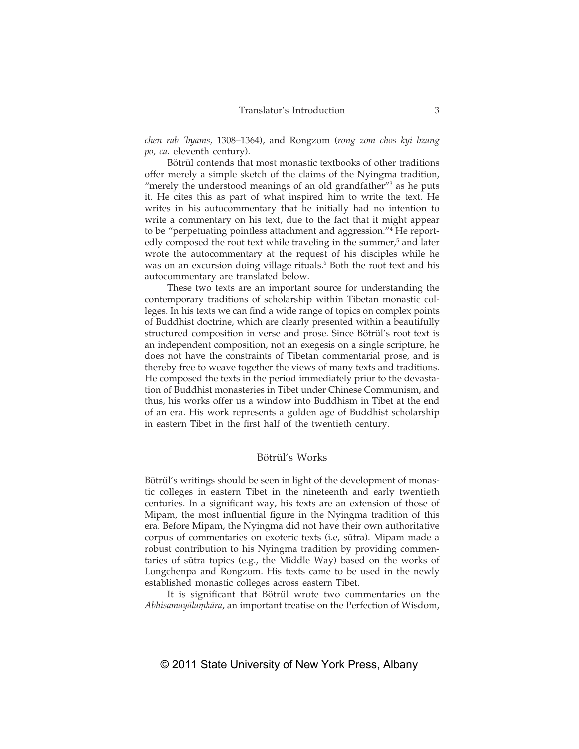*chen rab 'byams,* 1308–1364), and Rongzom (*rong zom chos kyi bzang po, ca.* eleventh century).

Bötrül contends that most monastic textbooks of other traditions offer merely a simple sketch of the claims of the Nyingma tradition, "merely the understood meanings of an old grandfather" $\frac{3}{3}$  as he puts it. He cites this as part of what inspired him to write the text. He writes in his autocommentary that he initially had no intention to write a commentary on his text, due to the fact that it might appear to be "perpetuating pointless attachment and aggression."4 He reportedly composed the root text while traveling in the summer,<sup>5</sup> and later wrote the autocommentary at the request of his disciples while he was on an excursion doing village rituals.<sup>6</sup> Both the root text and his autocommentary are translated below.

These two texts are an important source for understanding the contemporary traditions of scholarship within Tibetan monastic colleges. In his texts we can find a wide range of topics on complex points of Buddhist doctrine, which are clearly presented within a beautifully structured composition in verse and prose. Since Bötrül's root text is an independent composition, not an exegesis on a single scripture, he does not have the constraints of Tibetan commentarial prose, and is thereby free to weave together the views of many texts and traditions. He composed the texts in the period immediately prior to the devastation of Buddhist monasteries in Tibet under Chinese Communism, and thus, his works offer us a window into Buddhism in Tibet at the end of an era. His work represents a golden age of Buddhist scholarship in eastern Tibet in the first half of the twentieth century.

# Bötrül's Works

Bötrül's writings should be seen in light of the development of monastic colleges in eastern Tibet in the nineteenth and early twentieth centuries. In a significant way, his texts are an extension of those of Mipam, the most influential figure in the Nyingma tradition of this era. Before Mipam, the Nyingma did not have their own authoritative corpus of commentaries on exoteric texts (i.e, sūtra). Mipam made a robust contribution to his Nyingma tradition by providing commentaries of sūtra topics (e.g., the Middle Way) based on the works of Longchenpa and Rongzom. His texts came to be used in the newly established monastic colleges across eastern Tibet.

It is significant that Bötrül wrote two commentaries on the *Abhisamayålaμkåra*, an important treatise on the Perfection of Wisdom,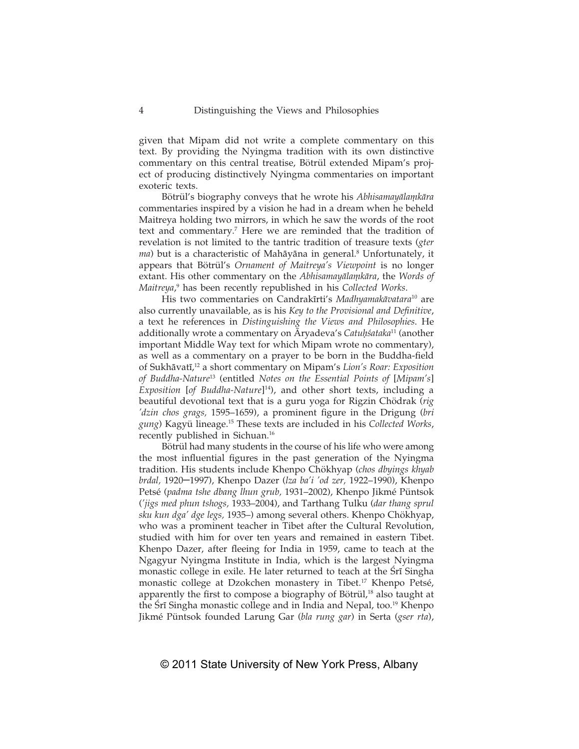given that Mipam did not write a complete commentary on this text. By providing the Nyingma tradition with its own distinctive commentary on this central treatise, Bötrül extended Mipam's project of producing distinctively Nyingma commentaries on important exoteric texts.

Bötrül's biography conveys that he wrote his *Abhisamayålaμkåra* commentaries inspired by a vision he had in a dream when he beheld Maitreya holding two mirrors, in which he saw the words of the root text and commentary.7 Here we are reminded that the tradition of revelation is not limited to the tantric tradition of treasure texts (*gter*  ma) but is a characteristic of Mahāyāna in general.<sup>8</sup> Unfortunately, it appears that Bötrül's *Ornament of Maitreya's Viewpoint* is no longer extant. His other commentary on the *Abhisamayålaμkåra*, the *Words of Maitreya*, 9 has been recently republished in his *Collected Works*.

His two commentaries on Candrakīrti's *Madhyamakāvatara*<sup>10</sup> are also currently unavailable, as is his *Key to the Provisional and Definitive*, a text he references in *Distinguishing the Views and Philosophies*. He additionally wrote a commentary on Āryadeva's *Catuḥśataka*<sup>11</sup> (another important Middle Way text for which Mipam wrote no commentary), as well as a commentary on a prayer to be born in the Buddha-field of Sukhāvatī,<sup>12</sup> a short commentary on Mipam's *Lion's Roar: Exposition of Buddha-Nature*<sup>13</sup> (entitled *Notes on the Essential Points of* [*Mipam's*] *Exposition* [*of Buddha-Nature*]14), and other short texts, including a beautiful devotional text that is a guru yoga for Rigzin Chödrak (*rig 'dzin chos grags,* 1595–1659), a prominent figure in the Drigung (*bri gung*) Kagyü lineage.15 These texts are included in his *Collected Works*, recently published in Sichuan.<sup>16</sup>

Bötrül had many students in the course of his life who were among the most influential figures in the past generation of the Nyingma tradition. His students include Khenpo Chökhyap (*chos dbyings khyab brdal,* 1920–1997), Khenpo Dazer (*lza ba'i 'od zer,* 1922–1990), Khenpo Petsé (*padma tshe dbang lhun grub,* 1931–2002), Khenpo Jikmé Püntsok (*'jigs med phun tshogs,* 1933–2004), and Tarthang Tulku (*dar thang sprul sku kun dga' dge legs,* 1935–) among several others. Khenpo Chökhyap, who was a prominent teacher in Tibet after the Cultural Revolution, studied with him for over ten years and remained in eastern Tibet. Khenpo Dazer, after fleeing for India in 1959, came to teach at the Ngagyur Nyingma Institute in India, which is the largest Nyingma monastic college in exile. He later returned to teach at the Sri Singha monastic college at Dzokchen monastery in Tibet.<sup>17</sup> Khenpo Petsé, apparently the first to compose a biography of Bötrül, $18$  also taught at the Srī Singha monastic college and in India and Nepal, too.<sup>19</sup> Khenpo Jikmé Püntsok founded Larung Gar (*bla rung gar*) in Serta (*gser rta*),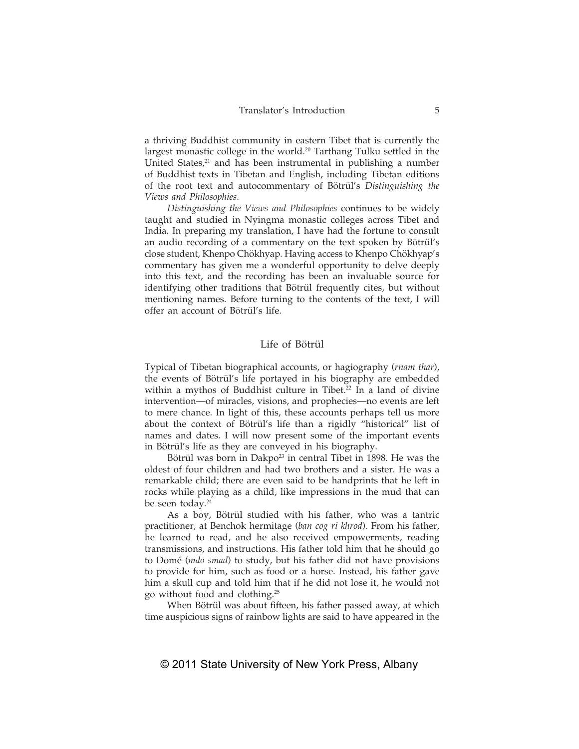a thriving Buddhist community in eastern Tibet that is currently the largest monastic college in the world.<sup>20</sup> Tarthang Tulku settled in the United States, $21$  and has been instrumental in publishing a number of Buddhist texts in Tibetan and English, including Tibetan editions of the root text and autocommentary of Bötrül's *Distinguishing the Views and Philosophies*.

*Distinguishing the Views and Philosophies* continues to be widely taught and studied in Nyingma monastic colleges across Tibet and India. In preparing my translation, I have had the fortune to consult an audio recording of a commentary on the text spoken by Bötrül's close student, Khenpo Chökhyap. Having access to Khenpo Chökhyap's commentary has given me a wonderful opportunity to delve deeply into this text, and the recording has been an invaluable source for identifying other traditions that Bötrül frequently cites, but without mentioning names. Before turning to the contents of the text, I will offer an account of Bötrül's life.

# Life of Bötrül

Typical of Tibetan biographical accounts, or hagiography (*rnam thar*), the events of Bötrül's life portayed in his biography are embedded within a mythos of Buddhist culture in Tibet.<sup>22</sup> In a land of divine intervention—of miracles, visions, and prophecies—no events are left to mere chance. In light of this, these accounts perhaps tell us more about the context of Bötrül's life than a rigidly "historical" list of names and dates. I will now present some of the important events in Bötrül's life as they are conveyed in his biography.

Bötrül was born in Dakpo<sup>23</sup> in central Tibet in 1898. He was the oldest of four children and had two brothers and a sister. He was a remarkable child; there are even said to be handprints that he left in rocks while playing as a child, like impressions in the mud that can be seen today. $24$ 

As a boy, Bötrül studied with his father, who was a tantric practitioner, at Benchok hermitage (*ban cog ri khrod*). From his father, he learned to read, and he also received empowerments, reading transmissions, and instructions. His father told him that he should go to Domé (*mdo smad*) to study, but his father did not have provisions to provide for him, such as food or a horse. Instead, his father gave him a skull cup and told him that if he did not lose it, he would not go without food and clothing.25

When Bötrül was about fifteen, his father passed away, at which time auspicious signs of rainbow lights are said to have appeared in the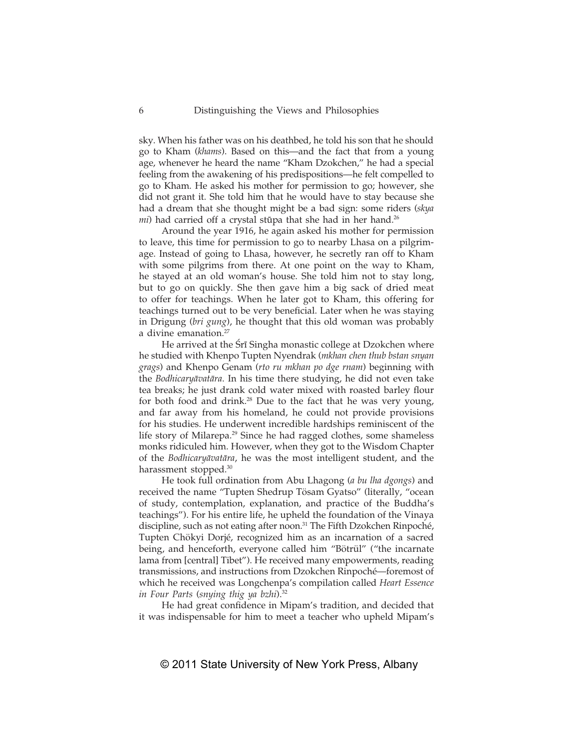sky. When his father was on his deathbed, he told his son that he should go to Kham (*khams*). Based on this—and the fact that from a young age, whenever he heard the name "Kham Dzokchen," he had a special feeling from the awakening of his predispositions—he felt compelled to go to Kham. He asked his mother for permission to go; however, she did not grant it. She told him that he would have to stay because she had a dream that she thought might be a bad sign: some riders (*skya mi*) had carried off a crystal stūpa that she had in her hand.<sup>26</sup>

Around the year 1916, he again asked his mother for permission to leave, this time for permission to go to nearby Lhasa on a pilgrimage. Instead of going to Lhasa, however, he secretly ran off to Kham with some pilgrims from there. At one point on the way to Kham, he stayed at an old woman's house. She told him not to stay long, but to go on quickly. She then gave him a big sack of dried meat to offer for teachings. When he later got to Kham, this offering for teachings turned out to be very beneficial. Later when he was staying in Drigung (*bri gung*), he thought that this old woman was probably a divine emanation.<sup>27</sup>

He arrived at the Sri Singha monastic college at Dzokchen where he studied with Khenpo Tupten Nyendrak (*mkhan chen thub bstan snyan grags*) and Khenpo Genam (*rto ru mkhan po dge rnam*) beginning with the *Bodhicaryåvatåra*. In his time there studying, he did not even take tea breaks; he just drank cold water mixed with roasted barley flour for both food and drink.<sup>28</sup> Due to the fact that he was very young, and far away from his homeland, he could not provide provisions for his studies. He underwent incredible hardships reminiscent of the life story of Milarepa.<sup>29</sup> Since he had ragged clothes, some shameless monks ridiculed him. However, when they got to the Wisdom Chapter of the *Bodhicaryåvatåra*, he was the most intelligent student, and the harassment stopped.<sup>30</sup>

He took full ordination from Abu Lhagong (*a bu lha dgongs*) and received the name "Tupten Shedrup Tösam Gyatso" (literally, "ocean of study, contemplation, explanation, and practice of the Buddha's teachings"). For his entire life, he upheld the foundation of the Vinaya discipline, such as not eating after noon.<sup>31</sup> The Fifth Dzokchen Rinpoché, Tupten Chökyi Dorjé, recognized him as an incarnation of a sacred being, and henceforth, everyone called him "Bötrül" ("the incarnate lama from [central] Tibet"). He received many empowerments, reading transmissions, and instructions from Dzokchen Rinpoché—foremost of which he received was Longchenpa's compilation called *Heart Essence in Four Parts* (*snying thig ya bzhi*).32

He had great confidence in Mipam's tradition, and decided that it was indispensable for him to meet a teacher who upheld Mipam's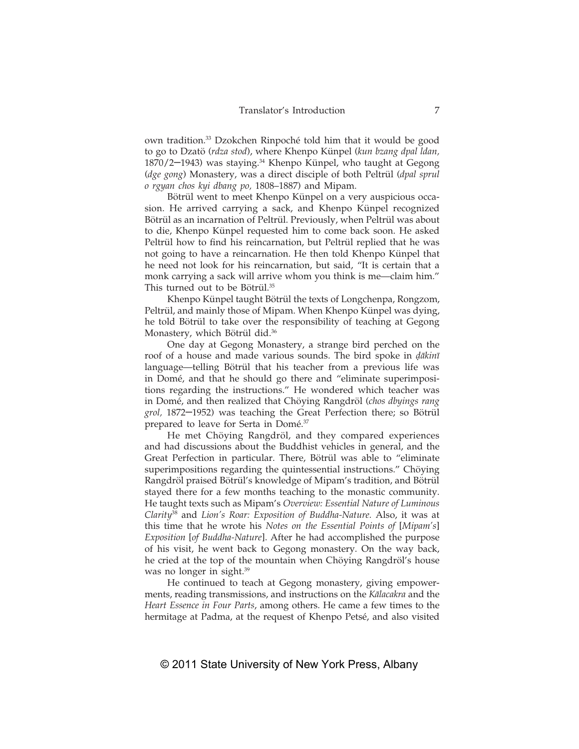own tradition.33 Dzokchen Rinpoché told him that it would be good to go to Dzatö (*rdza stod*), where Khenpo Künpel (*kun bzang dpal ldan,* 1870/2–1943) was staying.34 Khenpo Künpel, who taught at Gegong (*dge gong*) Monastery, was a direct disciple of both Peltrül (*dpal sprul o rgyan chos kyi dbang po,* 1808–1887) and Mipam.

Bötrül went to meet Khenpo Künpel on a very auspicious occasion. He arrived carrying a sack, and Khenpo Künpel recognized Bötrül as an incarnation of Peltrül. Previously, when Peltrül was about to die, Khenpo Künpel requested him to come back soon. He asked Peltrül how to find his reincarnation, but Peltrül replied that he was not going to have a reincarnation. He then told Khenpo Künpel that he need not look for his reincarnation, but said, "It is certain that a monk carrying a sack will arrive whom you think is me—claim him." This turned out to be Bötrül.<sup>35</sup>

Khenpo Künpel taught Bötrül the texts of Longchenpa, Rongzom, Peltrül, and mainly those of Mipam. When Khenpo Künpel was dying, he told Bötrül to take over the responsibility of teaching at Gegong Monastery, which Bötrül did.36

One day at Gegong Monastery, a strange bird perched on the roof of a house and made various sounds. The bird spoke in *dākinī* language—telling Bötrül that his teacher from a previous life was in Domé, and that he should go there and "eliminate superimpositions regarding the instructions." He wondered which teacher was in Domé, and then realized that Chöying Rangdröl (*chos dbyings rang grol,* 1872–1952) was teaching the Great Perfection there; so Bötrül prepared to leave for Serta in Domé.37

He met Chöying Rangdröl, and they compared experiences and had discussions about the Buddhist vehicles in general, and the Great Perfection in particular. There, Bötrül was able to "eliminate superimpositions regarding the quintessential instructions." Chöying Rangdröl praised Bötrül's knowledge of Mipam's tradition, and Bötrül stayed there for a few months teaching to the monastic community. He taught texts such as Mipam's *Overview: Essential Nature of Luminous Clarity*<sup>38</sup> and *Lion's Roar: Exposition of Buddha-Nature.* Also, it was at this time that he wrote his *Notes on the Essential Points of* [*Mipam's*] *Exposition* [*of Buddha-Nature*]. After he had accomplished the purpose of his visit, he went back to Gegong monastery. On the way back, he cried at the top of the mountain when Chöying Rangdröl's house was no longer in sight.<sup>39</sup>

He continued to teach at Gegong monastery, giving empowerments, reading transmissions, and instructions on the *Kålacakra* and the *Heart Essence in Four Parts*, among others. He came a few times to the hermitage at Padma, at the request of Khenpo Petsé, and also visited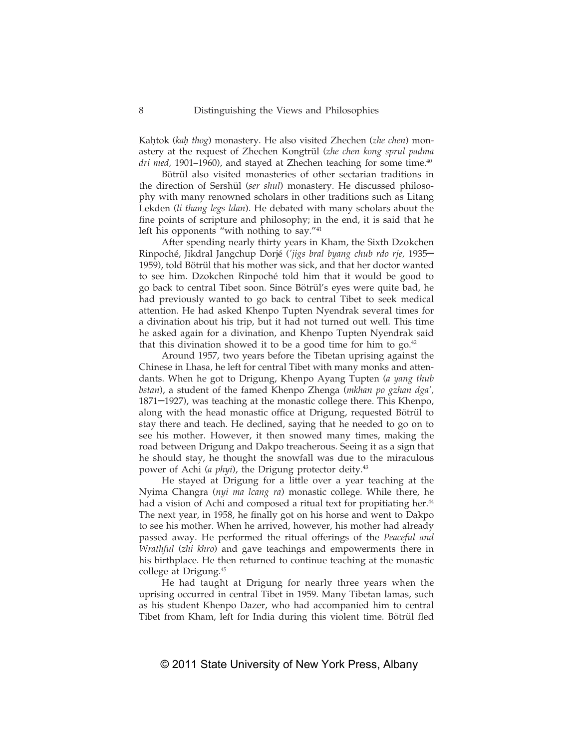Kahtok (kah thog) monastery. He also visited Zhechen (*zhe chen*) monastery at the request of Zhechen Kongtrül (*zhe chen kong sprul padma dri med,* 1901–1960), and stayed at Zhechen teaching for some time.<sup>40</sup>

Bötrül also visited monasteries of other sectarian traditions in the direction of Sershül (*ser shul*) monastery. He discussed philosophy with many renowned scholars in other traditions such as Litang Lekden (*li thang legs ldan*). He debated with many scholars about the fine points of scripture and philosophy; in the end, it is said that he left his opponents "with nothing to say."<sup>41</sup>

After spending nearly thirty years in Kham, the Sixth Dzokchen Rinpoché, Jikdral Jangchup Dorjé (*'jigs bral byang chub rdo rje,* 1935– 1959), told Bötrül that his mother was sick, and that her doctor wanted to see him. Dzokchen Rinpoché told him that it would be good to go back to central Tibet soon. Since Bötrül's eyes were quite bad, he had previously wanted to go back to central Tibet to seek medical attention. He had asked Khenpo Tupten Nyendrak several times for a divination about his trip, but it had not turned out well. This time he asked again for a divination, and Khenpo Tupten Nyendrak said that this divination showed it to be a good time for him to  $g_0$ .<sup>42</sup>

Around 1957, two years before the Tibetan uprising against the Chinese in Lhasa, he left for central Tibet with many monks and attendants. When he got to Drigung, Khenpo Ayang Tupten (*a yang thub bstan*), a student of the famed Khenpo Zhenga (*mkhan po gzhan dga',* 1871–1927), was teaching at the monastic college there. This Khenpo, along with the head monastic office at Drigung, requested Bötrül to stay there and teach. He declined, saying that he needed to go on to see his mother. However, it then snowed many times, making the road between Drigung and Dakpo treacherous. Seeing it as a sign that he should stay, he thought the snowfall was due to the miraculous power of Achi (*a phyi*), the Drigung protector deity.43

He stayed at Drigung for a little over a year teaching at the Nyima Changra (*nyi ma lcang ra*) monastic college. While there, he had a vision of Achi and composed a ritual text for propitiating her.<sup>44</sup> The next year, in 1958, he finally got on his horse and went to Dakpo to see his mother. When he arrived, however, his mother had already passed away. He performed the ritual offerings of the *Peaceful and Wrathful* (*zhi khro*) and gave teachings and empowerments there in his birthplace. He then returned to continue teaching at the monastic college at Drigung.45

He had taught at Drigung for nearly three years when the uprising occurred in central Tibet in 1959. Many Tibetan lamas, such as his student Khenpo Dazer, who had accompanied him to central Tibet from Kham, left for India during this violent time. Bötrül fled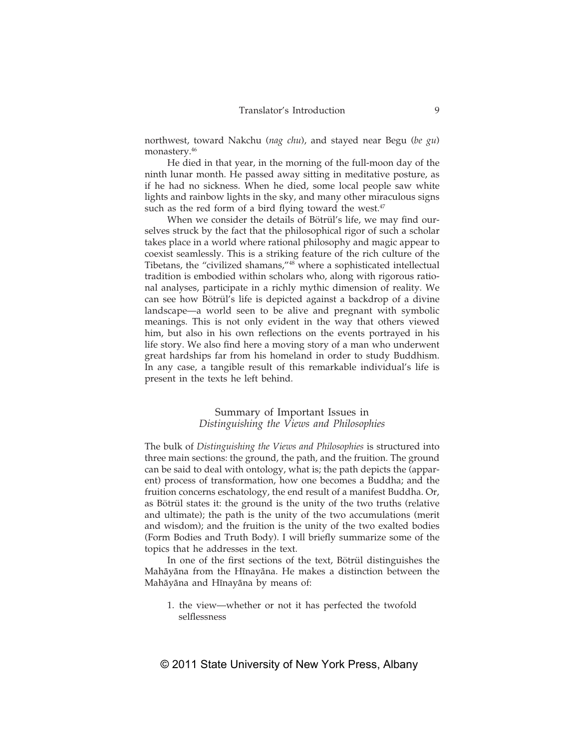northwest, toward Nakchu (*nag chu*), and stayed near Begu (*be gu*) monastery.46

He died in that year, in the morning of the full-moon day of the ninth lunar month. He passed away sitting in meditative posture, as if he had no sickness. When he died, some local people saw white lights and rainbow lights in the sky, and many other miraculous signs such as the red form of a bird flying toward the west. $47$ 

When we consider the details of Bötrül's life, we may find ourselves struck by the fact that the philosophical rigor of such a scholar takes place in a world where rational philosophy and magic appear to coexist seamlessly. This is a striking feature of the rich culture of the Tibetans, the "civilized shamans,"48 where a sophisticated intellectual tradition is embodied within scholars who, along with rigorous rational analyses, participate in a richly mythic dimension of reality. We can see how Bötrül's life is depicted against a backdrop of a divine landscape—a world seen to be alive and pregnant with symbolic meanings. This is not only evident in the way that others viewed him, but also in his own reflections on the events portrayed in his life story. We also find here a moving story of a man who underwent great hardships far from his homeland in order to study Buddhism. In any case, a tangible result of this remarkable individual's life is present in the texts he left behind.

# Summary of Important Issues in *Distinguishing the Views and Philosophies*

The bulk of *Distinguishing the Views and Philosophies* is structured into three main sections: the ground, the path, and the fruition. The ground can be said to deal with ontology, what is; the path depicts the (apparent) process of transformation, how one becomes a Buddha; and the fruition concerns eschatology, the end result of a manifest Buddha. Or, as Bötrül states it: the ground is the unity of the two truths (relative and ultimate); the path is the unity of the two accumulations (merit and wisdom); and the fruition is the unity of the two exalted bodies (Form Bodies and Truth Body). I will briefly summarize some of the topics that he addresses in the text.

In one of the first sections of the text, Bötrül distinguishes the Mahāyāna from the Hīnayāna. He makes a distinction between the Mahāyāna and Hīnayāna by means of:

 1. the view—whether or not it has perfected the twofold selflessness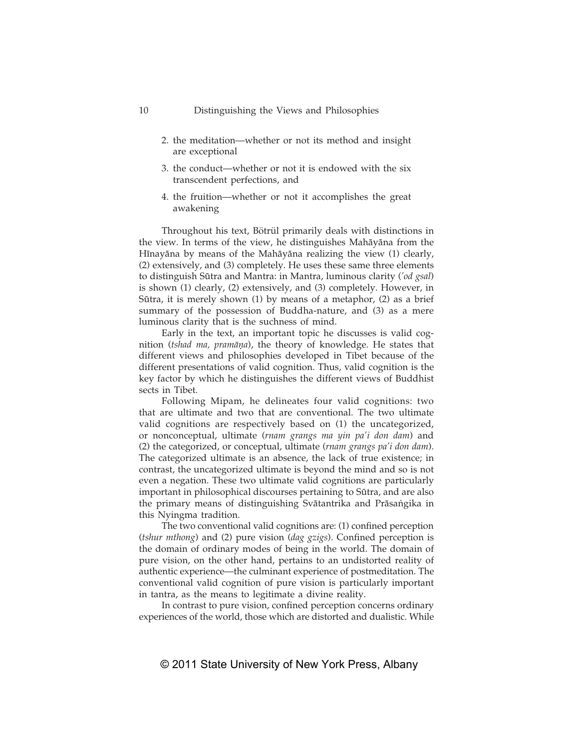### 10 Distinguishing the Views and Philosophies

- 2. the meditation—whether or not its method and insight are exceptional
- 3. the conduct—whether or not it is endowed with the six transcendent perfections, and
- 4. the fruition—whether or not it accomplishes the great awakening

Throughout his text, Bötrül primarily deals with distinctions in the view. In terms of the view, he distinguishes Mahåyåna from the Hīnayāna by means of the Mahāyāna realizing the view (1) clearly, (2) extensively, and (3) completely. He uses these same three elements to distinguish Sūtra and Mantra: in Mantra, luminous clarity ('od gsal) is shown (1) clearly, (2) extensively, and (3) completely. However, in Sūtra, it is merely shown  $(1)$  by means of a metaphor,  $(2)$  as a brief summary of the possession of Buddha-nature, and (3) as a mere luminous clarity that is the suchness of mind.

Early in the text, an important topic he discusses is valid cognition (tshad ma, pramāņa), the theory of knowledge. He states that different views and philosophies developed in Tibet because of the different presentations of valid cognition. Thus, valid cognition is the key factor by which he distinguishes the different views of Buddhist sects in Tibet.

Following Mipam, he delineates four valid cognitions: two that are ultimate and two that are conventional. The two ultimate valid cognitions are respectively based on (1) the uncategorized, or nonconceptual, ultimate (*rnam grangs ma yin pa'i don dam*) and (2) the categorized, or conceptual, ultimate (*rnam grangs pa'i don dam*). The categorized ultimate is an absence, the lack of true existence; in contrast, the uncategorized ultimate is beyond the mind and so is not even a negation. These two ultimate valid cognitions are particularly important in philosophical discourses pertaining to Sūtra, and are also the primary means of distinguishing Svātantrika and Prāsangika in this Nyingma tradition.

The two conventional valid cognitions are: (1) confined perception (*tshur mthong*) and (2) pure vision (*dag gzigs*). Confined perception is the domain of ordinary modes of being in the world. The domain of pure vision, on the other hand, pertains to an undistorted reality of authentic experience—the culminant experience of postmeditation. The conventional valid cognition of pure vision is particularly important in tantra, as the means to legitimate a divine reality.

In contrast to pure vision, confined perception concerns ordinary experiences of the world, those which are distorted and dualistic. While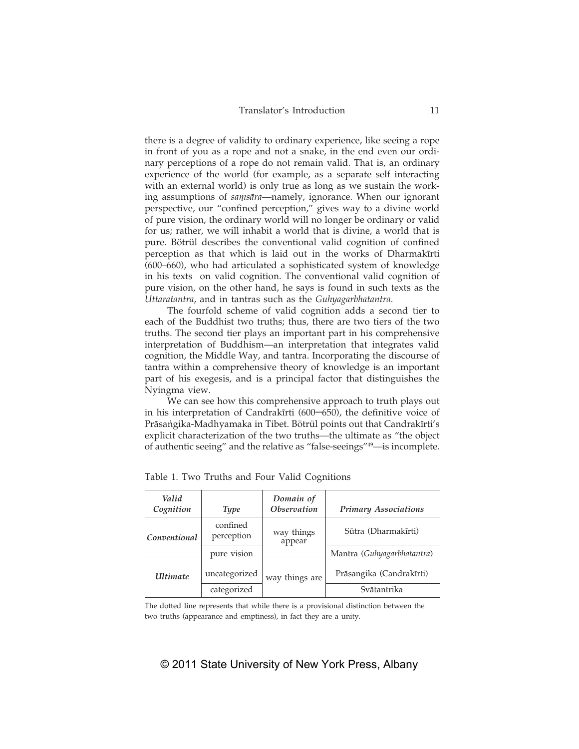there is a degree of validity to ordinary experience, like seeing a rope in front of you as a rope and not a snake, in the end even our ordinary perceptions of a rope do not remain valid. That is, an ordinary experience of the world (for example, as a separate self interacting with an external world) is only true as long as we sustain the working assumptions of *saμsåra*—namely, ignorance. When our ignorant perspective, our "confined perception," gives way to a divine world of pure vision, the ordinary world will no longer be ordinary or valid for us; rather, we will inhabit a world that is divine, a world that is pure. Bötrül describes the conventional valid cognition of confined perception as that which is laid out in the works of Dharmakīrti (600–660), who had articulated a sophisticated system of knowledge in his texts on valid cognition. The conventional valid cognition of pure vision, on the other hand, he says is found in such texts as the *Uttaratantra*, and in tantras such as the *Guhyagarbhatantra*.

The fourfold scheme of valid cognition adds a second tier to each of the Buddhist two truths; thus, there are two tiers of the two truths. The second tier plays an important part in his comprehensive interpretation of Buddhism—an interpretation that integrates valid cognition, the Middle Way, and tantra. Incorporating the discourse of tantra within a comprehensive theory of knowledge is an important part of his exegesis, and is a principal factor that distinguishes the Nyingma view.

We can see how this comprehensive approach to truth plays out in his interpretation of Candrak $\tilde{r}$ rti (600–650), the definitive voice of Prāsangika-Madhyamaka in Tibet. Bötrül points out that Candrakīrti's explicit characterization of the two truths—the ultimate as "the object of authentic seeing" and the relative as "false-seeings"49—is incomplete.

| Valid<br>Cognition | <b>Type</b>            | Domain of<br><i><b>Observation</b></i> | <b>Primary Associations</b> |
|--------------------|------------------------|----------------------------------------|-----------------------------|
| Conventional       | confined<br>perception | way things<br>appear                   | Sūtra (Dharmakīrti)         |
|                    | pure vision            |                                        | Mantra (Guhyagarbhatantra)  |
| <b>Ultimate</b>    | uncategorized          | way things are                         | Prāsangika (Candrakīrti)    |
|                    | categorized            |                                        | Svātantrika                 |

Table 1. Two Truths and Four Valid Cognitions

The dotted line represents that while there is a provisional distinction between the two truths (appearance and emptiness), in fact they are a unity.

# © 2011 State University of New York Press, Albany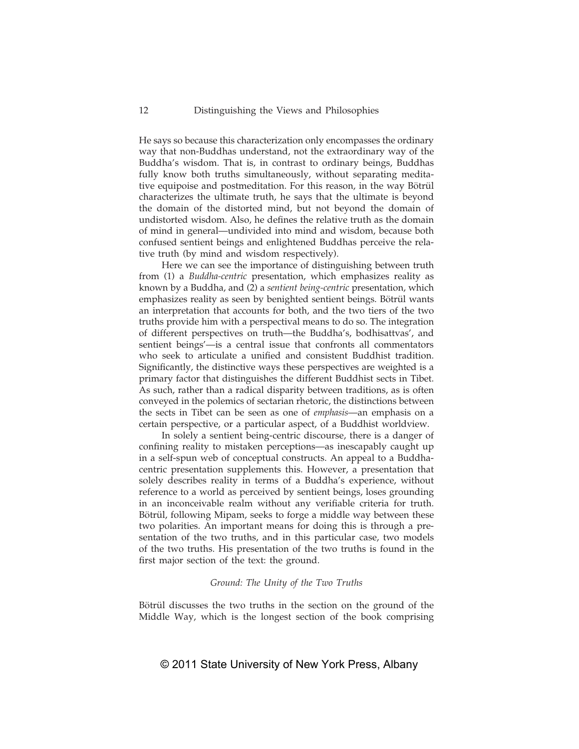He says so because this characterization only encompasses the ordinary way that non-Buddhas understand, not the extraordinary way of the Buddha's wisdom. That is, in contrast to ordinary beings, Buddhas fully know both truths simultaneously, without separating meditative equipoise and postmeditation. For this reason, in the way Bötrül characterizes the ultimate truth, he says that the ultimate is beyond the domain of the distorted mind, but not beyond the domain of undistorted wisdom. Also, he defines the relative truth as the domain of mind in general—undivided into mind and wisdom, because both confused sentient beings and enlightened Buddhas perceive the relative truth (by mind and wisdom respectively).

Here we can see the importance of distinguishing between truth from (1) a *Buddha-centric* presentation, which emphasizes reality as known by a Buddha, and (2) a *sentient being-centric* presentation, which emphasizes reality as seen by benighted sentient beings. Bötrül wants an interpretation that accounts for both, and the two tiers of the two truths provide him with a perspectival means to do so. The integration of different perspectives on truth—the Buddha's, bodhisattvas', and sentient beings'—is a central issue that confronts all commentators who seek to articulate a unified and consistent Buddhist tradition. Significantly, the distinctive ways these perspectives are weighted is a primary factor that distinguishes the different Buddhist sects in Tibet. As such, rather than a radical disparity between traditions, as is often conveyed in the polemics of sectarian rhetoric, the distinctions between the sects in Tibet can be seen as one of *emphasis*—an emphasis on a certain perspective, or a particular aspect, of a Buddhist worldview.

In solely a sentient being-centric discourse, there is a danger of confining reality to mistaken perceptions—as inescapably caught up in a self-spun web of conceptual constructs. An appeal to a Buddhacentric presentation supplements this. However, a presentation that solely describes reality in terms of a Buddha's experience, without reference to a world as perceived by sentient beings, loses grounding in an inconceivable realm without any verifiable criteria for truth. Bötrül, following Mipam, seeks to forge a middle way between these two polarities. An important means for doing this is through a presentation of the two truths, and in this particular case, two models of the two truths. His presentation of the two truths is found in the first major section of the text: the ground.

### *Ground: The Unity of the Two Truths*

Bötrül discusses the two truths in the section on the ground of the Middle Way, which is the longest section of the book comprising

# © 2011 State University of New York Press, Albany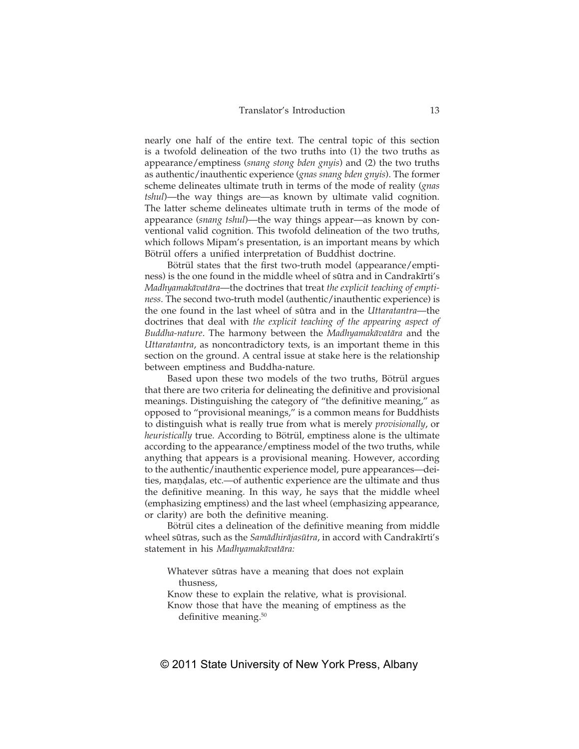nearly one half of the entire text. The central topic of this section is a twofold delineation of the two truths into (1) the two truths as appearance/emptiness (*snang stong bden gnyis*) and (2) the two truths as authentic/inauthentic experience (*gnas snang bden gnyis*). The former scheme delineates ultimate truth in terms of the mode of reality (*gnas tshul*)—the way things are—as known by ultimate valid cognition. The latter scheme delineates ultimate truth in terms of the mode of appearance (*snang tshul*)—the way things appear—as known by conventional valid cognition. This twofold delineation of the two truths, which follows Mipam's presentation, is an important means by which Bötrül offers a unified interpretation of Buddhist doctrine.

Bötrül states that the first two-truth model (appearance/emptiness) is the one found in the middle wheel of sūtra and in Candrakīrti's *Madhyamakåvatåra*—the doctrines that treat *the explicit teaching of emptiness*. The second two-truth model (authentic/inauthentic experience) is the one found in the last wheel of sūtra and in the *Uttaratantra*—the doctrines that deal with *the explicit teaching of the appearing aspect of Buddha-nature*. The harmony between the *Madhyamakåvatåra* and the *Uttaratantra*, as noncontradictory texts, is an important theme in this section on the ground. A central issue at stake here is the relationship between emptiness and Buddha-nature.

Based upon these two models of the two truths, Bötrül argues that there are two criteria for delineating the definitive and provisional meanings. Distinguishing the category of "the definitive meaning," as opposed to "provisional meanings," is a common means for Buddhists to distinguish what is really true from what is merely *provisionally*, or *heuristically* true. According to Bötrül, emptiness alone is the ultimate according to the appearance/emptiness model of the two truths, while anything that appears is a provisional meaning. However, according to the authentic/inauthentic experience model, pure appearances—deities, maṇḍalas, etc.—of authentic experience are the ultimate and thus the definitive meaning. In this way, he says that the middle wheel (emphasizing emptiness) and the last wheel (emphasizing appearance, or clarity) are both the definitive meaning.

Bötrül cites a delineation of the definitive meaning from middle wheel sūtras, such as the *Samādhirājasūtra*, in accord with Candrakīrti's statement in his *Madhyamakåvatåra:*

Whatever sūtras have a meaning that does not explain thusness,

Know these to explain the relative, what is provisional. Know those that have the meaning of emptiness as the definitive meaning.<sup>50</sup>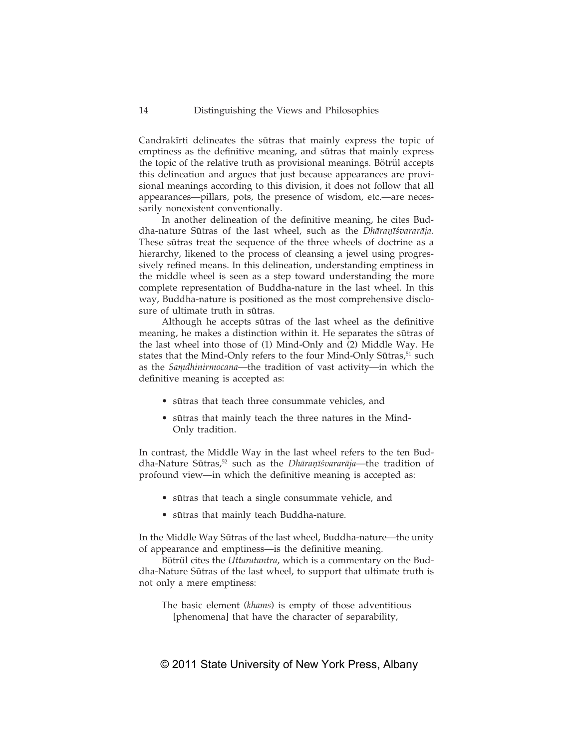Candrakīrti delineates the sūtras that mainly express the topic of emptiness as the definitive meaning, and sūtras that mainly express the topic of the relative truth as provisional meanings. Bötrül accepts this delineation and argues that just because appearances are provisional meanings according to this division, it does not follow that all appearances—pillars, pots, the presence of wisdom, etc.—are necessarily nonexistent conventionally.

In another delineation of the definitive meaning, he cites Buddha-nature Sūtras of the last wheel, such as the *Dhāraṇīśvararāja*. These sūtras treat the sequence of the three wheels of doctrine as a hierarchy, likened to the process of cleansing a jewel using progressively refined means. In this delineation, understanding emptiness in the middle wheel is seen as a step toward understanding the more complete representation of Buddha-nature in the last wheel. In this way, Buddha-nature is positioned as the most comprehensive disclosure of ultimate truth in sūtras.

Although he accepts sūtras of the last wheel as the definitive meaning, he makes a distinction within it. He separates the sūtras of the last wheel into those of (1) Mind-Only and (2) Middle Way. He states that the Mind-Only refers to the four Mind-Only Sūtras,<sup>51</sup> such as the *Saμdhinirmocana*—the tradition of vast activity—in which the definitive meaning is accepted as:

- sūtras that teach three consummate vehicles, and
- sūtras that mainly teach the three natures in the Mind-Only tradition.

In contrast, the Middle Way in the last wheel refers to the ten Buddha-Nature Sūtras,<sup>52</sup> such as the *Dhāraṇīśvararāja*—the tradition of profound view—in which the definitive meaning is accepted as:

- sūtras that teach a single consummate vehicle, and
- sūtras that mainly teach Buddha-nature.

In the Middle Way Sūtras of the last wheel, Buddha-nature—the unity of appearance and emptiness—is the definitive meaning.

Bötrül cites the *Uttaratantra*, which is a commentary on the Buddha-Nature Sūtras of the last wheel, to support that ultimate truth is not only a mere emptiness:

The basic element (*khams*) is empty of those adventitious [phenomena] that have the character of separability,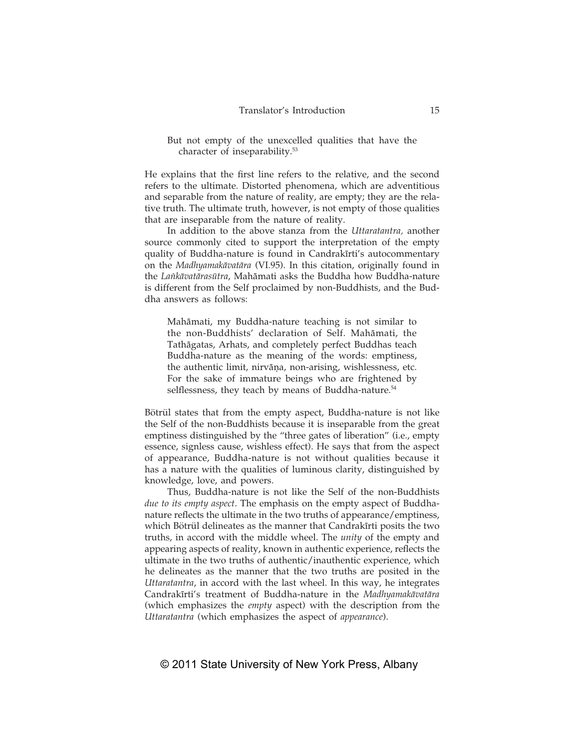But not empty of the unexcelled qualities that have the character of inseparability.53

He explains that the first line refers to the relative, and the second refers to the ultimate. Distorted phenomena, which are adventitious and separable from the nature of reality, are empty; they are the relative truth. The ultimate truth, however, is not empty of those qualities that are inseparable from the nature of reality.

In addition to the above stanza from the *Uttaratantra,* another source commonly cited to support the interpretation of the empty quality of Buddha-nature is found in Candrakīrti's autocommentary on the *Madhyamakåvatåra* (VI.95). In this citation, originally found in the *Lankāvatārasūtra*, Mahāmati asks the Buddha how Buddha-nature is different from the Self proclaimed by non-Buddhists, and the Buddha answers as follows:

Mahåmati, my Buddha-nature teaching is not similar to the non-Buddhists' declaration of Self. Mahåmati, the Tathågatas, Arhats, and completely perfect Buddhas teach Buddha-nature as the meaning of the words: emptiness, the authentic limit, nirvāṇa, non-arising, wishlessness, etc. For the sake of immature beings who are frightened by selflessness, they teach by means of Buddha-nature.<sup>54</sup>

Bötrül states that from the empty aspect, Buddha-nature is not like the Self of the non-Buddhists because it is inseparable from the great emptiness distinguished by the "three gates of liberation" (i.e., empty essence, signless cause, wishless effect). He says that from the aspect of appearance, Buddha-nature is not without qualities because it has a nature with the qualities of luminous clarity, distinguished by knowledge, love, and powers.

Thus, Buddha-nature is not like the Self of the non-Buddhists *due to its empty aspect*. The emphasis on the empty aspect of Buddhanature reflects the ultimate in the two truths of appearance/emptiness, which Bötrül delineates as the manner that Candrakīrti posits the two truths, in accord with the middle wheel. The *unity* of the empty and appearing aspects of reality, known in authentic experience, reflects the ultimate in the two truths of authentic/inauthentic experience, which he delineates as the manner that the two truths are posited in the *Uttaratantra*, in accord with the last wheel. In this way, he integrates Candrakīrti's treatment of Buddha-nature in the *Madhyamakāvatāra* (which emphasizes the *empty* aspect) with the description from the *Uttaratantra* (which emphasizes the aspect of *appearance*).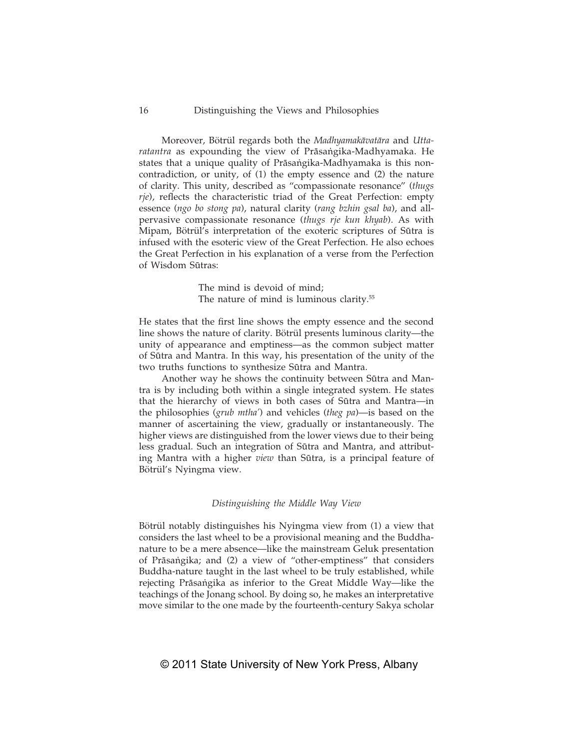16 Distinguishing the Views and Philosophies

Moreover, Bötrül regards both the *Madhyamakåvatåra* and *Uttaratantra* as expounding the view of Prāsangika-Madhyamaka. He states that a unique quality of Prāsaṅgika-Madhyamaka is this noncontradiction, or unity, of (1) the empty essence and (2) the nature of clarity. This unity, described as "compassionate resonance" (*thugs rje*), reflects the characteristic triad of the Great Perfection: empty essence (*ngo bo stong pa*), natural clarity (*rang bzhin gsal ba*), and allpervasive compassionate resonance (*thugs rje kun khyab*). As with Mipam, Bötrül's interpretation of the exoteric scriptures of Sūtra is infused with the esoteric view of the Great Perfection. He also echoes the Great Perfection in his explanation of a verse from the Perfection of Wisdom Sūtras:

> The mind is devoid of mind; The nature of mind is luminous clarity.<sup>55</sup>

He states that the first line shows the empty essence and the second line shows the nature of clarity. Bötrül presents luminous clarity—the unity of appearance and emptiness—as the common subject matter of Sūtra and Mantra. In this way, his presentation of the unity of the two truths functions to synthesize Sūtra and Mantra.

Another way he shows the continuity between Sūtra and Mantra is by including both within a single integrated system. He states that the hierarchy of views in both cases of Sūtra and Mantra-in the philosophies (*grub mtha'*) and vehicles (*theg pa*)—is based on the manner of ascertaining the view, gradually or instantaneously. The higher views are distinguished from the lower views due to their being less gradual. Such an integration of Sūtra and Mantra, and attributing Mantra with a higher *view* than Sūtra, is a principal feature of Bötrül's Nyingma view.

## *Distinguishing the Middle Way View*

Bötrül notably distinguishes his Nyingma view from (1) a view that considers the last wheel to be a provisional meaning and the Buddhanature to be a mere absence—like the mainstream Geluk presentation of Prāsangika; and (2) a view of "other-emptiness" that considers Buddha-nature taught in the last wheel to be truly established, while rejecting Prāsangika as inferior to the Great Middle Way—like the teachings of the Jonang school. By doing so, he makes an interpretative move similar to the one made by the fourteenth-century Sakya scholar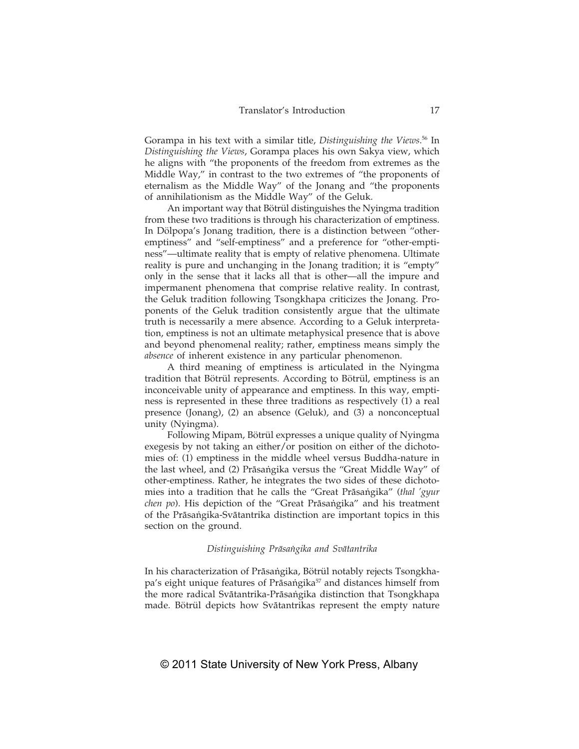Gorampa in his text with a similar title, *Distinguishing the Views*. 56 In *Distinguishing the Views*, Gorampa places his own Sakya view, which he aligns with "the proponents of the freedom from extremes as the Middle Way," in contrast to the two extremes of "the proponents of eternalism as the Middle Way" of the Jonang and "the proponents of annihilationism as the Middle Way" of the Geluk.

An important way that Bötrül distinguishes the Nyingma tradition from these two traditions is through his characterization of emptiness. In Dölpopa's Jonang tradition, there is a distinction between "otheremptiness" and "self-emptiness" and a preference for "other-emptiness"—ultimate reality that is empty of relative phenomena. Ultimate reality is pure and unchanging in the Jonang tradition; it is "empty" only in the sense that it lacks all that is other—all the impure and impermanent phenomena that comprise relative reality. In contrast, the Geluk tradition following Tsongkhapa criticizes the Jonang. Proponents of the Geluk tradition consistently argue that the ultimate truth is necessarily a mere absence. According to a Geluk interpretation, emptiness is not an ultimate metaphysical presence that is above and beyond phenomenal reality; rather, emptiness means simply the *absence* of inherent existence in any particular phenomenon.

A third meaning of emptiness is articulated in the Nyingma tradition that Bötrül represents. According to Bötrül, emptiness is an inconceivable unity of appearance and emptiness. In this way, emptiness is represented in these three traditions as respectively (1) a real presence (Jonang), (2) an absence (Geluk), and (3) a nonconceptual unity (Nyingma).

Following Mipam, Bötrül expresses a unique quality of Nyingma exegesis by not taking an either/or position on either of the dichotomies of: (1) emptiness in the middle wheel versus Buddha-nature in the last wheel, and (2) Prāsaṅgika versus the "Great Middle Way" of other-emptiness. Rather, he integrates the two sides of these dichotomies into a tradition that he calls the "Great Prāsaṅgika" (*thal 'gyur chen po*). His depiction of the "Great Prāsaṅgika" and his treatment of the Prāsaṅgika-Svātantrika distinction are important topics in this section on the ground.

## *Distinguishing Pråsa‰gika and Svåtantrika*

In his characterization of Prāsaṅgika, Bötrül notably rejects Tsongkhapa's eight unique features of Prāsaṅgika<sup>57</sup> and distances himself from the more radical Svātantrika-Prāsaṅgika distinction that Tsongkhapa made. Bötrül depicts how Svåtantrikas represent the empty nature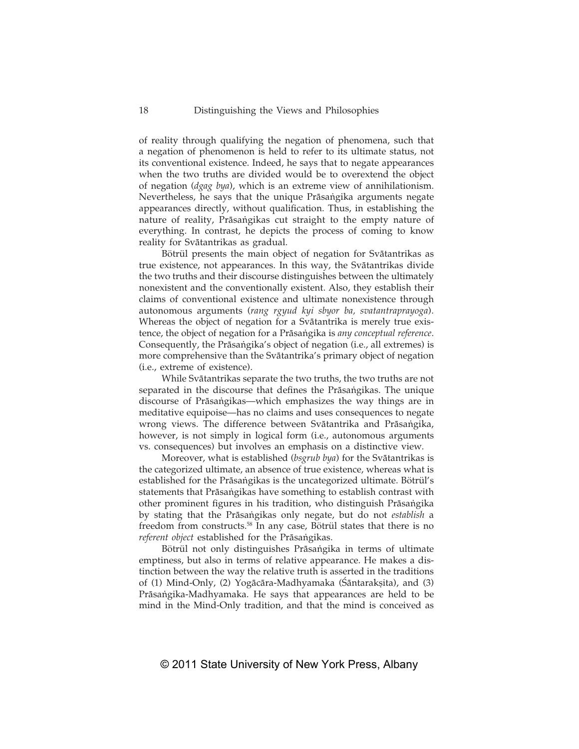of reality through qualifying the negation of phenomena, such that a negation of phenomenon is held to refer to its ultimate status, not its conventional existence. Indeed, he says that to negate appearances when the two truths are divided would be to overextend the object of negation (*dgag bya*), which is an extreme view of annihilationism. Nevertheless, he says that the unique Prāsaṅgika arguments negate appearances directly, without qualification. Thus, in establishing the nature of reality, Prāsaṅgikas cut straight to the empty nature of everything. In contrast, he depicts the process of coming to know reality for Svåtantrikas as gradual.

Bötrül presents the main object of negation for Svåtantrikas as true existence, not appearances. In this way, the Svåtantrikas divide the two truths and their discourse distinguishes between the ultimately nonexistent and the conventionally existent. Also, they establish their claims of conventional existence and ultimate nonexistence through autonomous arguments (*rang rgyud kyi sbyor ba, svatantraprayoga*). Whereas the object of negation for a Svåtantrika is merely true existence, the object of negation for a Prāsaṅgika is *any conceptual reference*. Consequently, the Prāsaṅgika's object of negation (i.e., all extremes) is more comprehensive than the Svåtantrika's primary object of negation (i.e., extreme of existence).

While Svåtantrikas separate the two truths, the two truths are not separated in the discourse that defines the Prāsaṅgikas. The unique discourse of Prāsaṅgikas—which emphasizes the way things are in meditative equipoise—has no claims and uses consequences to negate wrong views. The difference between Svātantrika and Prāsaṅgika, however, is not simply in logical form (i.e., autonomous arguments vs. consequences) but involves an emphasis on a distinctive view.

Moreover, what is established (*bsgrub bya*) for the Svåtantrikas is the categorized ultimate, an absence of true existence, whereas what is established for the Prāsaṅgikas is the uncategorized ultimate. Bötrül's statements that Prāsaṅgikas have something to establish contrast with other prominent figures in his tradition, who distinguish Prāsaṅgika by stating that the Prāsaṅgikas only negate, but do not *establish* a freedom from constructs.58 In any case, Bötrül states that there is no *referent object* established for the Prāsangikas.

Bötrül not only distinguishes Prāsaṅgika in terms of ultimate emptiness, but also in terms of relative appearance. He makes a distinction between the way the relative truth is asserted in the traditions of (1) Mind-Only, (2) Yogācāra-Madhyamaka (Śāntarakṣita), and (3) Prāsaṅgika-Madhyamaka. He says that appearances are held to be mind in the Mind-Only tradition, and that the mind is conceived as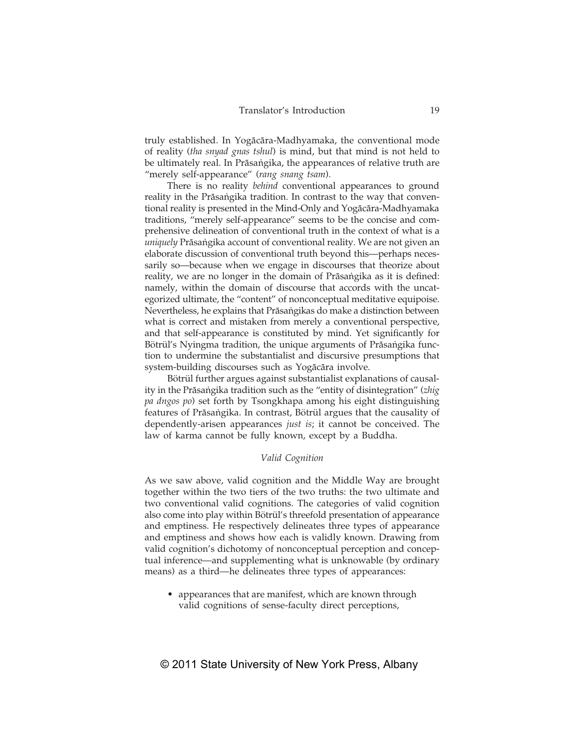truly established. In Yogåcåra-Madhyamaka, the conventional mode of reality (*tha snyad gnas tshul*) is mind, but that mind is not held to be ultimately real. In Prāsaṅgika, the appearances of relative truth are "merely self-appearance" (*rang snang tsam*).

There is no reality *behind* conventional appearances to ground reality in the Prāsaṅgika tradition. In contrast to the way that conventional reality is presented in the Mind-Only and Yogåcåra-Madhyamaka traditions, "merely self-appearance" seems to be the concise and comprehensive delineation of conventional truth in the context of what is a *uniquely* Prāsangika account of conventional reality. We are not given an elaborate discussion of conventional truth beyond this—perhaps necessarily so—because when we engage in discourses that theorize about reality, we are no longer in the domain of Prāsaṅgika as it is defined: namely, within the domain of discourse that accords with the uncategorized ultimate, the "content" of nonconceptual meditative equipoise. Nevertheless, he explains that Prāsaṅgikas do make a distinction between what is correct and mistaken from merely a conventional perspective, and that self-appearance is constituted by mind. Yet significantly for Bötrül's Nyingma tradition, the unique arguments of Prāsaṅgika function to undermine the substantialist and discursive presumptions that system-building discourses such as Yogåcåra involve.

Bötrül further argues against substantialist explanations of causality in the Pråsa∫gika tradition such as the "entity of disintegration" (*zhig pa dngos po*) set forth by Tsongkhapa among his eight distinguishing features of Prāsaṅgika. In contrast, Bötrül argues that the causality of dependently-arisen appearances *just is*; it cannot be conceived. The law of karma cannot be fully known, except by a Buddha.

# *Valid Cognition*

As we saw above, valid cognition and the Middle Way are brought together within the two tiers of the two truths: the two ultimate and two conventional valid cognitions. The categories of valid cognition also come into play within Bötrül's threefold presentation of appearance and emptiness. He respectively delineates three types of appearance and emptiness and shows how each is validly known. Drawing from valid cognition's dichotomy of nonconceptual perception and conceptual inference—and supplementing what is unknowable (by ordinary means) as a third—he delineates three types of appearances:

• appearances that are manifest, which are known through valid cognitions of sense-faculty direct perceptions,